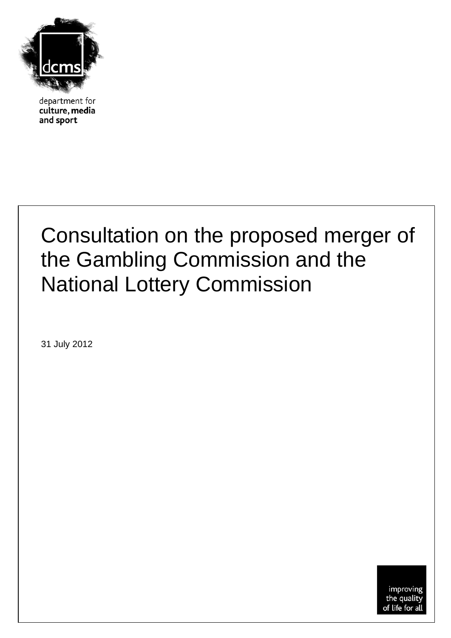

department for culture, media and sport

## Consultation on the proposed merger of the Gambling Commission and the National Lottery Commission

31 July 2012

improving the quality of life for all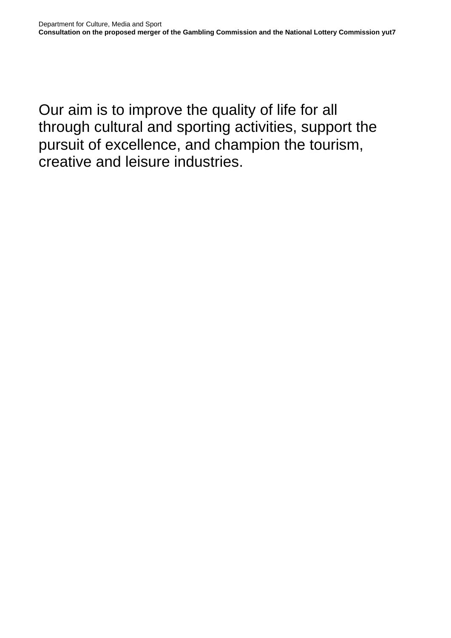Our aim is to improve the quality of life for all through cultural and sporting activities, support the pursuit of excellence, and champion the tourism, creative and leisure industries.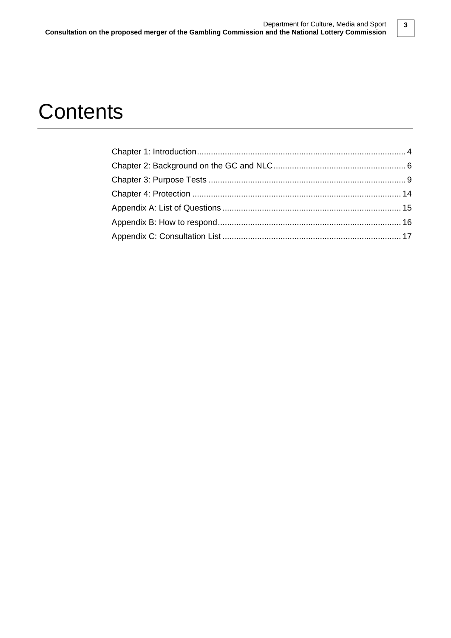### **Contents**

**3**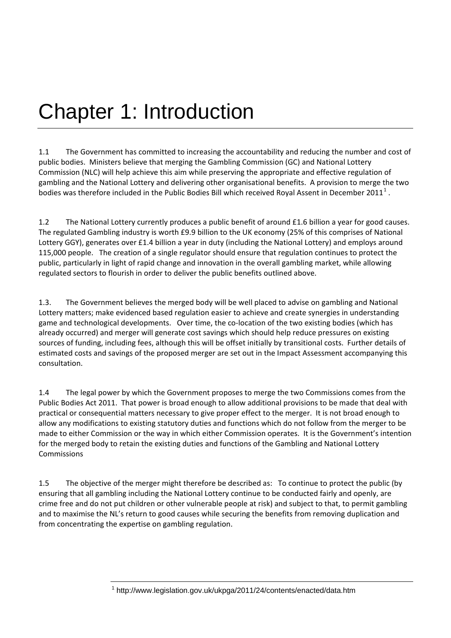# Chapter 1: Introduction

1.1 The Government has committed to increasing the accountability and reducing the number and cost of public bodies. Ministers believe that merging the Gambling Commission (GC) and National Lottery Commission (NLC) will help achieve this aim while preserving the appropriate and effective regulation of gambling and the National Lottery and delivering other organisational benefits. A provision to merge the two bodies was therefore included in the Public Bodies Bill which received Royal Assent in December 20[1](#page-3-0)1<sup>1</sup>.

1.2 The National Lottery currently produces a public benefit of around £1.6 billion a year for good causes. The regulated Gambling industry is worth £9.9 billion to the UK economy (25% of this comprises of National Lottery GGY), generates over £1.4 billion a year in duty (including the National Lottery) and employs around 115,000 people. The creation of a single regulator should ensure that regulation continues to protect the public, particularly in light of rapid change and innovation in the overall gambling market, while allowing regulated sectors to flourish in order to deliver the public benefits outlined above.

1.3. The Government believes the merged body will be well placed to advise on gambling and National Lottery matters; make evidenced based regulation easier to achieve and create synergies in understanding game and technological developments. Over time, the co-location of the two existing bodies (which has already occurred) and merger will generate cost savings which should help reduce pressures on existing sources of funding, including fees, although this will be offset initially by transitional costs. Further details of estimated costs and savings of the proposed merger are set out in the Impact Assessment accompanying this consultation.

1.4 The legal power by which the Government proposes to merge the two Commissions comes from the Public Bodies Act 2011. That power is broad enough to allow additional provisions to be made that deal with practical or consequential matters necessary to give proper effect to the merger. It is not broad enough to allow any modifications to existing statutory duties and functions which do not follow from the merger to be made to either Commission or the way in which either Commission operates. It is the Government's intention for the merged body to retain the existing duties and functions of the Gambling and National Lottery Commissions

<span id="page-3-0"></span>1.5 The objective of the merger might therefore be described as: To continue to protect the public (by ensuring that all gambling including the National Lottery continue to be conducted fairly and openly, are crime free and do not put children or other vulnerable people at risk) and subject to that, to permit gambling and to maximise the NL's return to good causes while securing the benefits from removing duplication and from concentrating the expertise on gambling regulation.

<sup>1</sup> http://www.legislation.gov.uk/ukpga/2011/24/contents/enacted/data.htm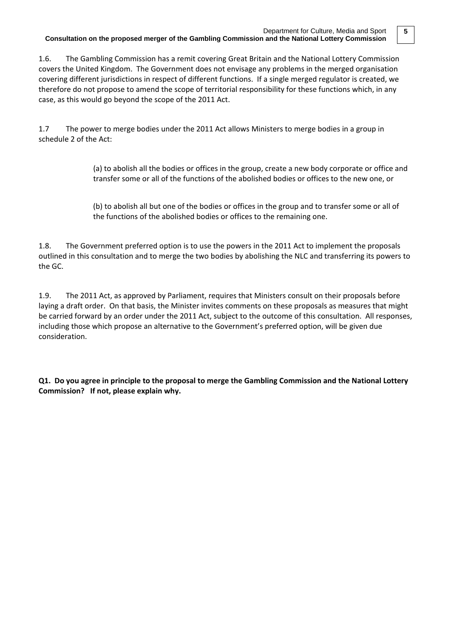1.6. The Gambling Commission has a remit covering Great Britain and the National Lottery Commission covers the United Kingdom. The Government does not envisage any problems in the merged organisation covering different jurisdictions in respect of different functions. If a single merged regulator is created, we therefore do not propose to amend the scope of territorial responsibility for these functions which, in any case, as this would go beyond the scope of the 2011 Act.

1.7 The power to merge bodies under the 2011 Act allows Ministers to merge bodies in a group in schedule 2 of the Act:

> (a) to abolish all the bodies or offices in the group, create a new body corporate or office and transfer some or all of the functions of the abolished bodies or offices to the new one, or

(b) to abolish all but one of the bodies or offices in the group and to transfer some or all of the functions of the abolished bodies or offices to the remaining one.

1.8. The Government preferred option is to use the powers in the 2011 Act to implement the proposals outlined in this consultation and to merge the two bodies by abolishing the NLC and transferring its powers to the GC.

1.9. The 2011 Act, as approved by Parliament, requires that Ministers consult on their proposals before laying a draft order. On that basis, the Minister invites comments on these proposals as measures that might be carried forward by an order under the 2011 Act, subject to the outcome of this consultation. All responses, including those which propose an alternative to the Government's preferred option, will be given due consideration.

**Q1. Do you agree in principle to the proposal to merge the Gambling Commission and the National Lottery Commission? If not, please explain why.**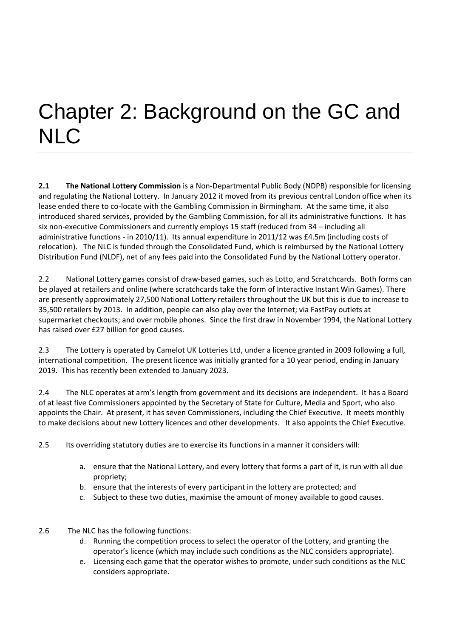# Chapter 2: Background on the GC and **NLC**

**2.1 The National Lottery Commission** is a Non-Departmental Public Body (NDPB) responsible for licensing and regulating the National Lottery. In January 2012 it moved from its previous central London office when its lease ended there to co-locate with the Gambling Commission in Birmingham. At the same time, it also introduced shared services, provided by the Gambling Commission, for all its administrative functions. It has six non-executive Commissioners and currently employs 15 staff (reduced from 34 – including all administrative functions - in 2010/11). Its annual expenditure in 2011/12 was £4.5m (including costs of relocation). The NLC is funded through the Consolidated Fund, which is reimbursed by the National Lottery Distribution Fund (NLDF), net of any fees paid into the Consolidated Fund by the National Lottery operator.

2.2 National Lottery games consist of draw-based games, such as Lotto, and Scratchcards. Both forms can be played at retailers and online (where scratchcards take the form of Interactive Instant Win Games). There are presently approximately 27,500 National Lottery retailers throughout the UK but this is due to increase to 35,500 retailers by 2013. In addition, people can also play over the Internet; via FastPay outlets at supermarket checkouts; and over mobile phones. Since the first draw in November 1994, the National Lottery has raised over £27 billion for good causes.

2.3 The Lottery is operated by Camelot UK Lotteries Ltd, under a licence granted in 2009 following a full, international competition. The present licence was initially granted for a 10 year period, ending in January 2019. This has recently been extended to January 2023.

2.4 The NLC operates at arm's length from government and its decisions are independent. It has a Board of at least five Commissioners appointed by the Secretary of State for Culture, Media and Sport, who also appoints the Chair. At present, it has seven Commissioners, including the Chief Executive. It meets monthly to make decisions about new Lottery licences and other developments. It also appoints the Chief Executive.

- 2.5 Its overriding statutory duties are to exercise its functions in a manner it considers will:
	- a. ensure that the National Lottery, and every lottery that forms a part of it, is run with all due propriety;
	- b. ensure that the interests of every participant in the lottery are protected; and
	- c. Subject to these two duties, maximise the amount of money available to good causes.
- 2.6 The NLC has the following functions:
	- d. Running the competition process to select the operator of the Lottery, and granting the operator's licence (which may include such conditions as the NLC considers appropriate).
	- e. Licensing each game that the operator wishes to promote, under such conditions as the NLC considers appropriate.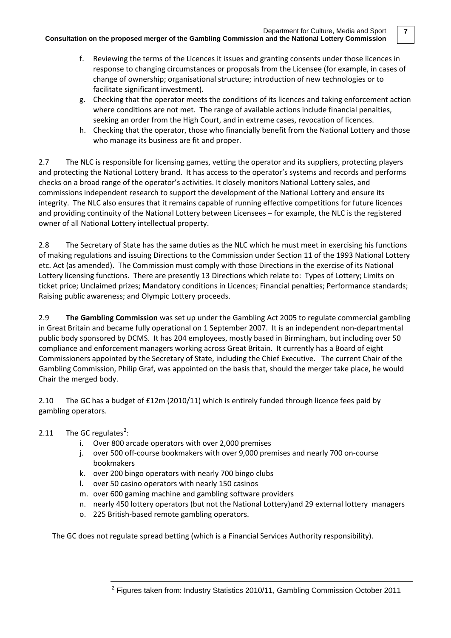- f. Reviewing the terms of the Licences it issues and granting consents under those licences in response to changing circumstances or proposals from the Licensee (for example, in cases of change of ownership; organisational structure; introduction of new technologies or to facilitate significant investment).
- g. Checking that the operator meets the conditions of its licences and taking enforcement action where conditions are not met. The range of available actions include financial penalties, seeking an order from the High Court, and in extreme cases, revocation of licences.
- h. Checking that the operator, those who financially benefit from the National Lottery and those who manage its business are fit and proper.

2.7 The NLC is responsible for licensing games, vetting the operator and its suppliers, protecting players and protecting the National Lottery brand. It has access to the operator's systems and records and performs checks on a broad range of the operator's activities. It closely monitors National Lottery sales, and commissions independent research to support the development of the National Lottery and ensure its integrity. The NLC also ensures that it remains capable of running effective competitions for future licences and providing continuity of the National Lottery between Licensees – for example, the NLC is the registered owner of all National Lottery intellectual property.

2.8 The Secretary of State has the same duties as the NLC which he must meet in exercising his functions of making regulations and issuing Directions to the Commission under Section 11 of the 1993 National Lottery etc. Act (as amended). The Commission must comply with those Directions in the exercise of its National Lottery licensing functions. There are presently 13 Directions which relate to: Types of Lottery; Limits on ticket price; Unclaimed prizes; Mandatory conditions in Licences; Financial penalties; Performance standards; Raising public awareness; and Olympic Lottery proceeds.

2.9 **The Gambling Commission** was set up under the Gambling Act 2005 to regulate commercial gambling in Great Britain and became fully operational on 1 September 2007. It is an independent non-departmental public body sponsored by DCMS. It has 204 employees, mostly based in Birmingham, but including over 50 compliance and enforcement managers working across Great Britain. It currently has a Board of eight Commissioners appointed by the Secretary of State, including the Chief Executive. The current Chair of the Gambling Commission, Philip Graf, was appointed on the basis that, should the merger take place, he would Chair the merged body.

2.10 The GC has a budget of £12m (2010/11) which is entirely funded through licence fees paid by gambling operators.

- [2](#page-6-0).11 The GC regulates<sup>2</sup>:
	- i. Over 800 arcade operators with over 2,000 premises
	- j. over 500 off-course bookmakers with over 9,000 premises and nearly 700 on-course bookmakers
	- k. over 200 bingo operators with nearly 70[0 bingo](http://www.gamblingcommission.gov.uk/gambling_sectors/bingo.aspx) clubs
	- l. over 50 casino operators with nearly 150 [casinos](http://www.gamblingcommission.gov.uk/gambling_sectors/casinos.aspx)
	- m. over 600 [gaming machine](http://www.gamblingcommission.gov.uk/gambling_sectors/gaming_machines.aspx) and gambling software providers
	- n. nearly 45[0 lottery](http://www.gamblingcommission.gov.uk/gambling_sectors/lotteries.aspx) operators (but not the National Lottery)and 29 external lottery managers
	- o. 225 British-based [remote gambling operators.](http://www.gamblingcommission.gov.uk/gambling_sectors/remote.aspx)

<span id="page-6-0"></span>The GC does not regulate spread betting (which is a [Financial Services Authority](http://www.fsa.gov.uk/) responsibility).

**7**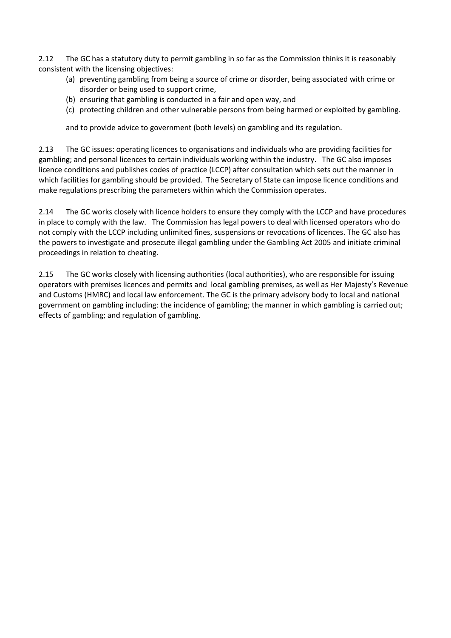2.12 The GC has a statutory duty to permit gambling in so far as the Commission thinks it is reasonably consistent with the licensing objectives:

- (a) preventing gambling from being a source of crime or disorder, being associated with crime or disorder or being used to support crime,
- (b) ensuring that gambling is conducted in a fair and open way, and
- (c) protecting children and other vulnerable persons from being harmed or exploited by gambling.

and to provide advice to government (both levels) on gambling and its regulation.

2.13 The GC issues: operating licences to organisations and individuals who are providing facilities for gambling; and personal licences to certain individuals working within the industry. The GC also imposes [licence conditions and publishes codes of practice](http://www.gamblingcommission.gov.uk/pdf/LCCP%20-%20Oct%202008.pdf) (LCCP) after consultation which sets out the manner in which facilities for gambling should be provided. The Secretary of State can impose licence conditions and make regulations prescribing the parameters within which the Commission operates.

2.14 The GC works closely with licence holders to ensure they comply with the LCCP and have procedures in place to comply with the law. The Commission has legal powers to deal with licensed operators who do not comply with the LCCP including unlimited fines, suspensions or revocations of licences. The GC also has the powers to investigate and prosecute illegal gambling under the Gambling Act 2005 and initiate criminal proceedings in relation to cheating.

2.15 The GC works closely with licensing authorities (local authorities), who are responsible for issuing operators with premises licences and permits and local gambling premises, as well as Her Majesty's Revenue and Customs (HMRC) and local law enforcement. The GC is the primary advisory body to local and national government on gambling including: the incidence of gambling; the manner in which gambling is carried out; effects of gambling; and regulation of gambling.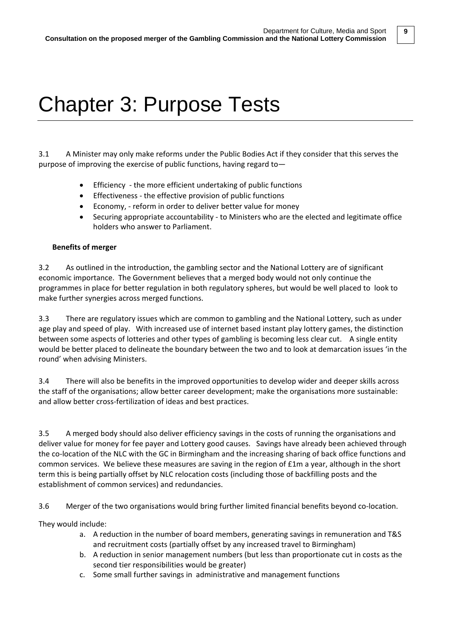**9**

## Chapter 3: Purpose Tests

3.1 A Minister may only make reforms under the Public Bodies Act if they consider that this serves the purpose of improving the exercise of public functions, having regard to—

- Efficiency the more efficient undertaking of public functions
- Effectiveness the effective provision of public functions
- Economy, reform in order to deliver better value for money
- Securing appropriate accountability to Ministers who are the elected and legitimate office holders who answer to Parliament.

#### **Benefits of merger**

3.2 As outlined in the introduction, the gambling sector and the National Lottery are of significant economic importance. The Government believes that a merged body would not only continue the programmes in place for better regulation in both regulatory spheres, but would be well placed to look to make further synergies across merged functions.

3.3 There are regulatory issues which are common to gambling and the National Lottery, such as under age play and speed of play. With increased use of internet based instant play lottery games, the distinction between some aspects of lotteries and other types of gambling is becoming less clear cut. A single entity would be better placed to delineate the boundary between the two and to look at demarcation issues 'in the round' when advising Ministers.

3.4 There will also be benefits in the improved opportunities to develop wider and deeper skills across the staff of the organisations; allow better career development; make the organisations more sustainable: and allow better cross-fertilization of ideas and best practices.

3.5 A merged body should also deliver efficiency savings in the costs of running the organisations and deliver value for money for fee payer and Lottery good causes. Savings have already been achieved through the co-location of the NLC with the GC in Birmingham and the increasing sharing of back office functions and common services. We believe these measures are saving in the region of £1m a year, although in the short term this is being partially offset by NLC relocation costs (including those of backfilling posts and the establishment of common services) and redundancies.

3.6 Merger of the two organisations would bring further limited financial benefits beyond co-location.

They would include:

- a. A reduction in the number of board members, generating savings in remuneration and T&S and recruitment costs (partially offset by any increased travel to Birmingham)
- b. A reduction in senior management numbers (but less than proportionate cut in costs as the second tier responsibilities would be greater)
- c. Some small further savings in administrative and management functions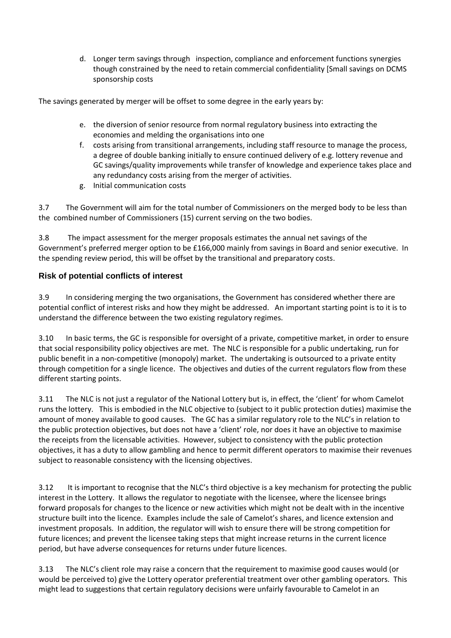d. Longer term savings through inspection, compliance and enforcement functions synergies though constrained by the need to retain commercial confidentiality [Small savings on DCMS sponsorship costs

The savings generated by merger will be offset to some degree in the early years by:

- e. the diversion of senior resource from normal regulatory business into extracting the economies and melding the organisations into one
- f. costs arising from transitional arrangements, including staff resource to manage the process, a degree of double banking initially to ensure continued delivery of e.g. lottery revenue and GC savings/quality improvements while transfer of knowledge and experience takes place and any redundancy costs arising from the merger of activities.
- g. Initial communication costs

3.7 The Government will aim for the total number of Commissioners on the merged body to be less than the combined number of Commissioners (15) current serving on the two bodies.

3.8 The impact assessment for the merger proposals estimates the annual net savings of the Government's preferred merger option to be £166,000 mainly from savings in Board and senior executive. In the spending review period, this will be offset by the transitional and preparatory costs.

### **Risk of potential conflicts of interest**

3.9 In considering merging the two organisations, the Government has considered whether there are potential conflict of interest risks and how they might be addressed. An important starting point is to it is to understand the difference between the two existing regulatory regimes.

3.10 In basic terms, the GC is responsible for oversight of a private, competitive market, in order to ensure that social responsibility policy objectives are met. The NLC is responsible for a public undertaking, run for public benefit in a non-competitive (monopoly) market. The undertaking is outsourced to a private entity through competition for a single licence. The objectives and duties of the current regulators flow from these different starting points.

3.11 The NLC is not just a regulator of the National Lottery but is, in effect, the 'client' for whom Camelot runs the lottery. This is embodied in the NLC objective to (subject to it public protection duties) maximise the amount of money available to good causes. The GC has a similar regulatory role to the NLC's in relation to the public protection objectives, but does not have a 'client' role, nor does it have an objective to maximise the receipts from the licensable activities. However, subject to consistency with the public protection objectives, it has a duty to allow gambling and hence to permit different operators to maximise their revenues subject to reasonable consistency with the licensing objectives.

3.12 It is important to recognise that the NLC's third objective is a key mechanism for protecting the public interest in the Lottery. It allows the regulator to negotiate with the licensee, where the licensee brings forward proposals for changes to the licence or new activities which might not be dealt with in the incentive structure built into the licence. Examples include the sale of Camelot's shares, and licence extension and investment proposals. In addition, the regulator will wish to ensure there will be strong competition for future licences; and prevent the licensee taking steps that might increase returns in the current licence period, but have adverse consequences for returns under future licences.

3.13 The NLC's client role may raise a concern that the requirement to maximise good causes would (or would be perceived to) give the Lottery operator preferential treatment over other gambling operators. This might lead to suggestions that certain regulatory decisions were unfairly favourable to Camelot in an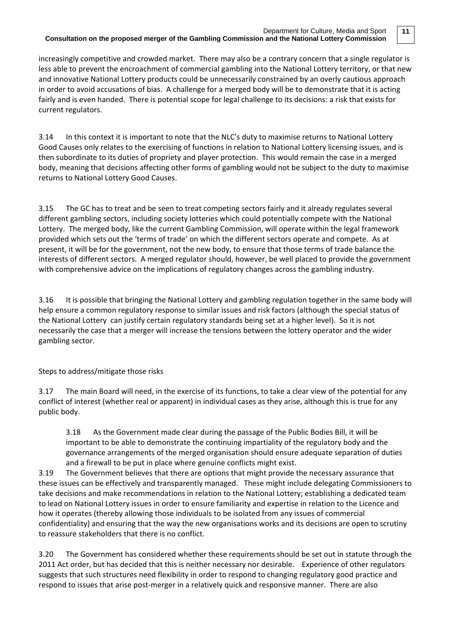**11**

increasingly competitive and crowded market. There may also be a contrary concern that a single regulator is less able to prevent the encroachment of commercial gambling into the National Lottery territory, or that new and innovative National Lottery products could be unnecessarily constrained by an overly cautious approach in order to avoid accusations of bias. A challenge for a merged body will be to demonstrate that it is acting fairly and is even handed. There is potential scope for legal challenge to its decisions: a risk that exists for current regulators.

3.14 In this context it is important to note that the NLC's duty to maximise returns to National Lottery Good Causes only relates to the exercising of functions in relation to National Lottery licensing issues, and is then subordinate to its duties of propriety and player protection. This would remain the case in a merged body, meaning that decisions affecting other forms of gambling would not be subject to the duty to maximise returns to National Lottery Good Causes.

3.15 The GC has to treat and be seen to treat competing sectors fairly and it already regulates several different gambling sectors, including society lotteries which could potentially compete with the National Lottery. The merged body, like the current Gambling Commission, will operate within the legal framework provided which sets out the 'terms of trade' on which the different sectors operate and compete. As at present, it will be for the government, not the new body, to ensure that those terms of trade balance the interests of different sectors. A merged regulator should, however, be well placed to provide the government with comprehensive advice on the implications of regulatory changes across the gambling industry.

3.16 It is possible that bringing the National Lottery and gambling regulation together in the same body will help ensure a common regulatory response to similar issues and risk factors (although the special status of the National Lottery can justify certain regulatory standards being set at a higher level). So it is not necessarily the case that a merger will increase the tensions between the lottery operator and the wider gambling sector.

### Steps to address/mitigate those risks

3.17 The main Board will need, in the exercise of its functions, to take a clear view of the potential for any conflict of interest (whether real or apparent) in individual cases as they arise, although this is true for any public body.

3.18 As the Government made clear during the passage of the Public Bodies Bill, it will be important to be able to demonstrate the continuing impartiality of the regulatory body and the governance arrangements of the merged organisation should ensure adequate separation of duties and a firewall to be put in place where genuine conflicts might exist.

3.19 The Government believes that there are options that might provide the necessary assurance that these issues can be effectively and transparently managed. These might include delegating Commissioners to take decisions and make recommendations in relation to the National Lottery; establishing a dedicated team to lead on National Lottery issues in order to ensure familiarity and expertise in relation to the Licence and how it operates (thereby allowing those individuals to be isolated from any issues of commercial confidentiality) and ensuring that the way the new organisations works and its decisions are open to scrutiny to reassure stakeholders that there is no conflict.

3.20 The Government has considered whether these requirements should be set out in statute through the 2011 Act order, but has decided that this is neither necessary nor desirable. Experience of other regulators suggests that such structures need flexibility in order to respond to changing regulatory good practice and respond to issues that arise post-merger in a relatively quick and responsive manner. There are also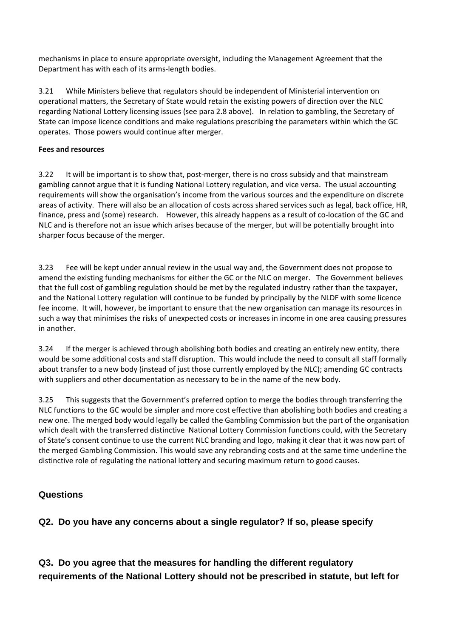mechanisms in place to ensure appropriate oversight, including the Management Agreement that the Department has with each of its arms-length bodies.

3.21 While Ministers believe that regulators should be independent of Ministerial intervention on operational matters, the Secretary of State would retain the existing powers of direction over the NLC regarding National Lottery licensing issues (see para 2.8 above). In relation to gambling, the Secretary of State can impose licence conditions and make regulations prescribing the parameters within which the GC operates. Those powers would continue after merger.

### **Fees and resources**

3.22 It will be important is to show that, post-merger, there is no cross subsidy and that mainstream gambling cannot argue that it is funding National Lottery regulation, and vice versa. The usual accounting requirements will show the organisation's income from the various sources and the expenditure on discrete areas of activity. There will also be an allocation of costs across shared services such as legal, back office, HR, finance, press and (some) research. However, this already happens as a result of co-location of the GC and NLC and is therefore not an issue which arises because of the merger, but will be potentially brought into sharper focus because of the merger.

3.23 Fee will be kept under annual review in the usual way and, the Government does not propose to amend the existing funding mechanisms for either the GC or the NLC on merger. The Government believes that the full cost of gambling regulation should be met by the regulated industry rather than the taxpayer, and the National Lottery regulation will continue to be funded by principally by the NLDF with some licence fee income. It will, however, be important to ensure that the new organisation can manage its resources in such a way that minimises the risks of unexpected costs or increases in income in one area causing pressures in another.

3.24 If the merger is achieved through abolishing both bodies and creating an entirely new entity, there would be some additional costs and staff disruption. This would include the need to consult all staff formally about transfer to a new body (instead of just those currently employed by the NLC); amending GC contracts with suppliers and other documentation as necessary to be in the name of the new body.

3.25 This suggests that the Government's preferred option to merge the bodies through transferring the NLC functions to the GC would be simpler and more cost effective than abolishing both bodies and creating a new one. The merged body would legally be called the Gambling Commission but the part of the organisation which dealt with the transferred distinctive National Lottery Commission functions could, with the Secretary of State's consent continue to use the current NLC branding and logo, making it clear that it was now part of the merged Gambling Commission. This would save any rebranding costs and at the same time underline the distinctive role of regulating the national lottery and securing maximum return to good causes.

### **Questions**

**Q2. Do you have any concerns about a single regulator? If so, please specify**

**Q3. Do you agree that the measures for handling the different regulatory requirements of the National Lottery should not be prescribed in statute, but left for**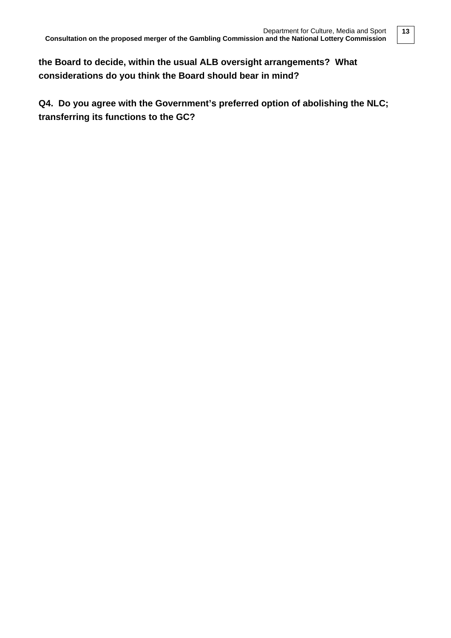**the Board to decide, within the usual ALB oversight arrangements? What considerations do you think the Board should bear in mind?**

**Q4. Do you agree with the Government's preferred option of abolishing the NLC; transferring its functions to the GC?**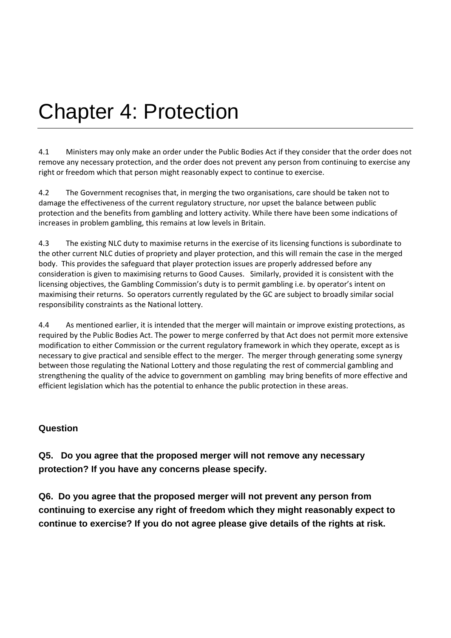# Chapter 4: Protection

4.1 Ministers may only make an order under the Public Bodies Act if they consider that the order does not remove any necessary protection, and the order does not prevent any person from continuing to exercise any right or freedom which that person might reasonably expect to continue to exercise.

4.2 The Government recognises that, in merging the two organisations, care should be taken not to damage the effectiveness of the current regulatory structure, nor upset the balance between public protection and the benefits from gambling and lottery activity. While there have been some indications of increases in problem gambling, this remains at low levels in Britain.

4.3 The existing NLC duty to maximise returns in the exercise of its licensing functions is subordinate to the other current NLC duties of propriety and player protection, and this will remain the case in the merged body. This provides the safeguard that player protection issues are properly addressed before any consideration is given to maximising returns to Good Causes. Similarly, provided it is consistent with the licensing objectives, the Gambling Commission's duty is to permit gambling i.e. by operator's intent on maximising their returns. So operators currently regulated by the GC are subject to broadly similar social responsibility constraints as the National lottery.

4.4 As mentioned earlier, it is intended that the merger will maintain or improve existing protections, as required by the Public Bodies Act. The power to merge conferred by that Act does not permit more extensive modification to either Commission or the current regulatory framework in which they operate, except as is necessary to give practical and sensible effect to the merger. The merger through generating some synergy between those regulating the National Lottery and those regulating the rest of commercial gambling and strengthening the quality of the advice to government on gambling may bring benefits of more effective and efficient legislation which has the potential to enhance the public protection in these areas.

### **Question**

**Q5. Do you agree that the proposed merger will not remove any necessary protection? If you have any concerns please specify.**

**Q6. Do you agree that the proposed merger will not prevent any person from continuing to exercise any right of freedom which they might reasonably expect to continue to exercise? If you do not agree please give details of the rights at risk.**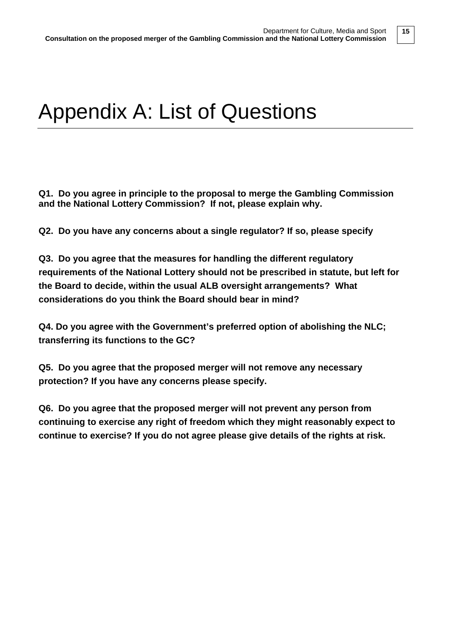### Appendix A: List of Questions

**Q1. Do you agree in principle to the proposal to merge the Gambling Commission and the National Lottery Commission? If not, please explain why.**

**Q2. Do you have any concerns about a single regulator? If so, please specify**

**Q3. Do you agree that the measures for handling the different regulatory requirements of the National Lottery should not be prescribed in statute, but left for the Board to decide, within the usual ALB oversight arrangements? What considerations do you think the Board should bear in mind?**

**Q4. Do you agree with the Government's preferred option of abolishing the NLC; transferring its functions to the GC?** 

**Q5. Do you agree that the proposed merger will not remove any necessary protection? If you have any concerns please specify.**

**Q6. Do you agree that the proposed merger will not prevent any person from continuing to exercise any right of freedom which they might reasonably expect to continue to exercise? If you do not agree please give details of the rights at risk.**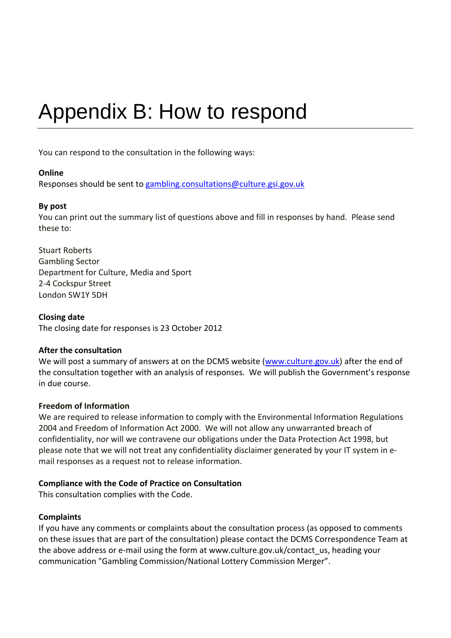# Appendix B: How to respond

You can respond to the consultation in the following ways:

### **Online**

Responses should be sent to [gambling.consultations@culture.gsi.gov.uk](mailto:gambling.consultations@culture.gsi.gov.uk)

### **By post**

You can print out the summary list of questions above and fill in responses by hand. Please send these to:

Stuart Roberts Gambling Sector Department for Culture, Media and Sport 2-4 Cockspur Street London SW1Y 5DH

### **Closing date**

The closing date for responses is 23 October 2012

### **After the consultation**

We will post a summary of answers at on the DCMS website [\(www.culture.gov.uk\)](http://www.culture.gov.uk/) after the end of the consultation together with an analysis of responses. We will publish the Government's response in due course.

### **Freedom of Information**

We are required to release information to comply with the Environmental Information Regulations 2004 and Freedom of Information Act 2000. We will not allow any unwarranted breach of confidentiality, nor will we contravene our obligations under the Data Protection Act 1998, but please note that we will not treat any confidentiality disclaimer generated by your IT system in email responses as a request not to release information.

### **Compliance with the Code of Practice on Consultation**

This consultation complies with the Code.

### **Complaints**

If you have any comments or complaints about the consultation process (as opposed to comments on these issues that are part of the consultation) please contact the DCMS Correspondence Team at the above address or e-mail using the form at www.culture.gov.uk/contact\_us, heading your communication "Gambling Commission/National Lottery Commission Merger".